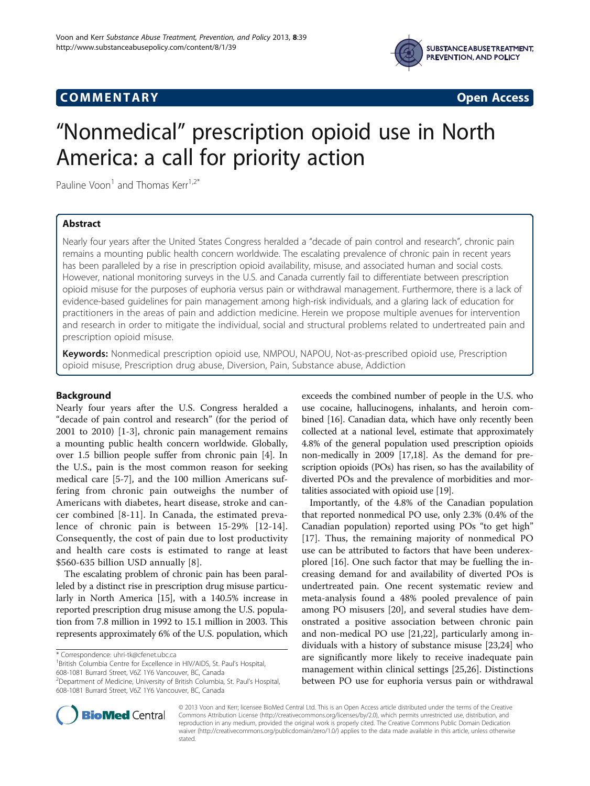

## COMM EN TARY Open Access



# "Nonmedical" prescription opioid use in North America: a call for priority action

Pauline Voon<sup>1</sup> and Thomas Kerr<sup>1,2\*</sup>

## Abstract

Nearly four years after the United States Congress heralded a "decade of pain control and research", chronic pain remains a mounting public health concern worldwide. The escalating prevalence of chronic pain in recent years has been paralleled by a rise in prescription opioid availability, misuse, and associated human and social costs. However, national monitoring surveys in the U.S. and Canada currently fail to differentiate between prescription opioid misuse for the purposes of euphoria versus pain or withdrawal management. Furthermore, there is a lack of evidence-based guidelines for pain management among high-risk individuals, and a glaring lack of education for practitioners in the areas of pain and addiction medicine. Herein we propose multiple avenues for intervention and research in order to mitigate the individual, social and structural problems related to undertreated pain and prescription opioid misuse.

Keywords: Nonmedical prescription opioid use, NMPOU, NAPOU, Not-as-prescribed opioid use, Prescription opioid misuse, Prescription drug abuse, Diversion, Pain, Substance abuse, Addiction

## Background

Nearly four years after the U.S. Congress heralded a "decade of pain control and research" (for the period of 2001 to 2010) [\[1](#page-2-0)-[3\]](#page-2-0), chronic pain management remains a mounting public health concern worldwide. Globally, over 1.5 billion people suffer from chronic pain [\[4](#page-2-0)]. In the U.S., pain is the most common reason for seeking medical care [[5-7\]](#page-2-0), and the 100 million Americans suffering from chronic pain outweighs the number of Americans with diabetes, heart disease, stroke and cancer combined [[8-11](#page-2-0)]. In Canada, the estimated prevalence of chronic pain is between 15-29% [[12](#page-2-0)-[14](#page-2-0)]. Consequently, the cost of pain due to lost productivity and health care costs is estimated to range at least \$560-635 billion USD annually [\[8](#page-2-0)].

The escalating problem of chronic pain has been paralleled by a distinct rise in prescription drug misuse particularly in North America [[15](#page-2-0)], with a 140.5% increase in reported prescription drug misuse among the U.S. population from 7.8 million in 1992 to 15.1 million in 2003. This represents approximately 6% of the U.S. population, which

\* Correspondence: [uhri-tk@cfenet.ubc.ca](mailto:uhri-tk@cfenet.ubc.ca) <sup>1</sup>

<sup>1</sup>British Columbia Centre for Excellence in HIV/AIDS, St. Paul's Hospital, 608-1081 Burrard Street, V6Z 1Y6 Vancouver, BC, Canada

608-1081 Burrard Street, V6Z 1Y6 Vancouver, BC, Canada

exceeds the combined number of people in the U.S. who use cocaine, hallucinogens, inhalants, and heroin combined [\[16](#page-2-0)]. Canadian data, which have only recently been collected at a national level, estimate that approximately 4.8% of the general population used prescription opioids non-medically in 2009 [[17,18\]](#page-2-0). As the demand for prescription opioids (POs) has risen, so has the availability of diverted POs and the prevalence of morbidities and mortalities associated with opioid use [\[19\]](#page-2-0).

Importantly, of the 4.8% of the Canadian population that reported nonmedical PO use, only 2.3% (0.4% of the Canadian population) reported using POs "to get high" [[17\]](#page-2-0). Thus, the remaining majority of nonmedical PO use can be attributed to factors that have been underexplored [\[16](#page-2-0)]. One such factor that may be fuelling the increasing demand for and availability of diverted POs is undertreated pain. One recent systematic review and meta-analysis found a 48% pooled prevalence of pain among PO misusers [[20\]](#page-2-0), and several studies have demonstrated a positive association between chronic pain and non-medical PO use [\[21,22\]](#page-2-0), particularly among individuals with a history of substance misuse [\[23,24\]](#page-2-0) who are significantly more likely to receive inadequate pain management within clinical settings [\[25](#page-2-0)[,26\]](#page-3-0). Distinctions between PO use for euphoria versus pain or withdrawal



© 2013 Voon and Kerr; licensee BioMed Central Ltd. This is an Open Access article distributed under the terms of the Creative Commons Attribution License [\(http://creativecommons.org/licenses/by/2.0\)](http://creativecommons.org/licenses/by/2.0), which permits unrestricted use, distribution, and reproduction in any medium, provided the original work is properly cited. The Creative Commons Public Domain Dedication waiver [\(http://creativecommons.org/publicdomain/zero/1.0/\)](http://creativecommons.org/publicdomain/zero/1.0/) applies to the data made available in this article, unless otherwise stated.

<sup>2</sup> Department of Medicine, University of British Columbia, St. Paul's Hospital,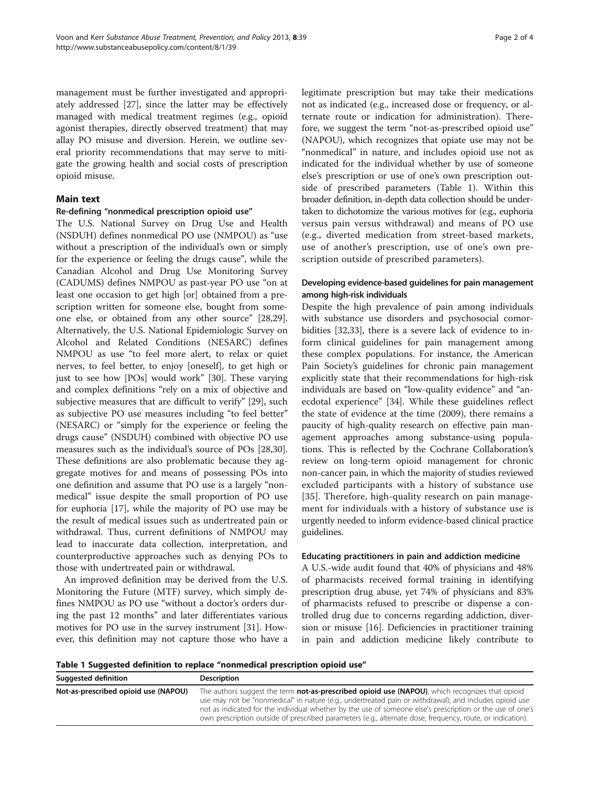management must be further investigated and appropriately addressed [[27](#page-3-0)], since the latter may be effectively managed with medical treatment regimes (e.g., opioid agonist therapies, directly observed treatment) that may allay PO misuse and diversion. Herein, we outline several priority recommendations that may serve to mitigate the growing health and social costs of prescription opioid misuse.

## Main text

#### Re-defining "nonmedical prescription opioid use"

The U.S. National Survey on Drug Use and Health (NSDUH) defines nonmedical PO use (NMPOU) as "use without a prescription of the individual's own or simply for the experience or feeling the drugs cause", while the Canadian Alcohol and Drug Use Monitoring Survey (CADUMS) defines NMPOU as past-year PO use "on at least one occasion to get high [or] obtained from a prescription written for someone else, bought from someone else, or obtained from any other source" [\[28,29](#page-3-0)]. Alternatively, the U.S. National Epidemiologic Survey on Alcohol and Related Conditions (NESARC) defines NMPOU as use "to feel more alert, to relax or quiet nerves, to feel better, to enjoy [oneself], to get high or just to see how [POs] would work" [\[30](#page-3-0)]. These varying and complex definitions "rely on a mix of objective and subjective measures that are difficult to verify" [[29](#page-3-0)], such as subjective PO use measures including "to feel better" (NESARC) or "simply for the experience or feeling the drugs cause" (NSDUH) combined with objective PO use measures such as the individual's source of POs [\[28,30](#page-3-0)]. These definitions are also problematic because they aggregate motives for and means of possessing POs into one definition and assume that PO use is a largely "nonmedical" issue despite the small proportion of PO use for euphoria [\[17\]](#page-2-0), while the majority of PO use may be the result of medical issues such as undertreated pain or withdrawal. Thus, current definitions of NMPOU may lead to inaccurate data collection, interpretation, and counterproductive approaches such as denying POs to those with undertreated pain or withdrawal.

An improved definition may be derived from the U.S. Monitoring the Future (MTF) survey, which simply defines NMPOU as PO use "without a doctor's orders during the past 12 months" and later differentiates various motives for PO use in the survey instrument [[31\]](#page-3-0). However, this definition may not capture those who have a legitimate prescription but may take their medications not as indicated (e.g., increased dose or frequency, or alternate route or indication for administration). Therefore, we suggest the term "not-as-prescribed opioid use" (NAPOU), which recognizes that opiate use may not be "nonmedical" in nature, and includes opioid use not as indicated for the individual whether by use of someone else's prescription or use of one's own prescription outside of prescribed parameters (Table 1). Within this broader definition, in-depth data collection should be undertaken to dichotomize the various motives for (e.g., euphoria versus pain versus withdrawal) and means of PO use (e.g., diverted medication from street-based markets, use of another's prescription, use of one's own prescription outside of prescribed parameters).

## Developing evidence-based guidelines for pain management among high-risk individuals

Despite the high prevalence of pain among individuals with substance use disorders and psychosocial comorbidities [[32,33\]](#page-3-0), there is a severe lack of evidence to inform clinical guidelines for pain management among these complex populations. For instance, the American Pain Society's guidelines for chronic pain management explicitly state that their recommendations for high-risk individuals are based on "low-quality evidence" and "anecdotal experience" [\[34](#page-3-0)]. While these guidelines reflect the state of evidence at the time (2009), there remains a paucity of high-quality research on effective pain management approaches among substance-using populations. This is reflected by the Cochrane Collaboration's review on long-term opioid management for chronic non-cancer pain, in which the majority of studies reviewed excluded participants with a history of substance use [[35](#page-3-0)]. Therefore, high-quality research on pain management for individuals with a history of substance use is urgently needed to inform evidence-based clinical practice guidelines.

#### Educating practitioners in pain and addiction medicine

A U.S.-wide audit found that 40% of physicians and 48% of pharmacists received formal training in identifying prescription drug abuse, yet 74% of physicians and 83% of pharmacists refused to prescribe or dispense a controlled drug due to concerns regarding addiction, diversion or misuse [\[16](#page-2-0)]. Deficiencies in practitioner training in pain and addiction medicine likely contribute to

Table 1 Suggested definition to replace "nonmedical prescription opioid use"

| <b>Suggested definition</b>          | Description                                                                                                                                                                                                                                                                                                                                                                                                                                  |
|--------------------------------------|----------------------------------------------------------------------------------------------------------------------------------------------------------------------------------------------------------------------------------------------------------------------------------------------------------------------------------------------------------------------------------------------------------------------------------------------|
| Not-as-prescribed opioid use (NAPOU) | The authors suggest the term <b>not-as-prescribed opioid use (NAPOU)</b> , which recognizes that opioid<br>use may not be "nonmedical" in nature (e.g., undertreated pain or withdrawal), and includes opioid use<br>not as indicated for the individual whether by the use of someone else's prescription or the use of one's<br>own prescription outside of prescribed parameters (e.g., alternate dose, frequency, route, or indication). |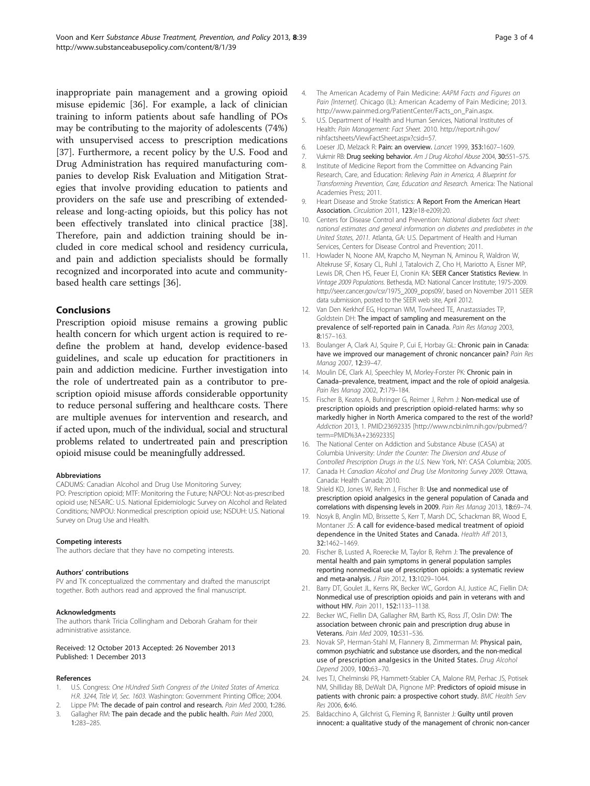<span id="page-2-0"></span>inappropriate pain management and a growing opioid misuse epidemic [\[36](#page-3-0)]. For example, a lack of clinician training to inform patients about safe handling of POs may be contributing to the majority of adolescents (74%) with unsupervised access to prescription medications [[37\]](#page-3-0). Furthermore, a recent policy by the U.S. Food and Drug Administration has required manufacturing companies to develop Risk Evaluation and Mitigation Strategies that involve providing education to patients and providers on the safe use and prescribing of extendedrelease and long-acting opioids, but this policy has not been effectively translated into clinical practice [\[38](#page-3-0)]. Therefore, pain and addiction training should be included in core medical school and residency curricula, and pain and addiction specialists should be formally recognized and incorporated into acute and communitybased health care settings [[36](#page-3-0)].

### Conclusions

Prescription opioid misuse remains a growing public health concern for which urgent action is required to redefine the problem at hand, develop evidence-based guidelines, and scale up education for practitioners in pain and addiction medicine. Further investigation into the role of undertreated pain as a contributor to prescription opioid misuse affords considerable opportunity to reduce personal suffering and healthcare costs. There are multiple avenues for intervention and research, and if acted upon, much of the individual, social and structural problems related to undertreated pain and prescription opioid misuse could be meaningfully addressed.

#### Abbreviations

CADUMS: Canadian Alcohol and Drug Use Monitoring Survey; PO: Prescription opioid; MTF: Monitoring the Future; NAPOU: Not-as-prescribed opioid use; NESARC: U.S. National Epidemiologic Survey on Alcohol and Related Conditions; NMPOU: Nonmedical prescription opioid use; NSDUH: U.S. National Survey on Drug Use and Health.

#### Competing interests

The authors declare that they have no competing interests.

#### Authors' contributions

PV and TK conceptualized the commentary and drafted the manuscript together. Both authors read and approved the final manuscript.

#### Acknowledgments

The authors thank Tricia Collingham and Deborah Graham for their administrative assistance.

#### Received: 12 October 2013 Accepted: 26 November 2013 Published: 1 December 2013

#### References

- 1. U.S. Congress: One HUndred Sixth Congress of the United States of America. H.R. 3244, Title VI, Sec. 1603. Washington: Government Printing Office; 2004.
- Lippe PM: The decade of pain control and research. Pain Med 2000, 1:286.
- 3. Gallagher RM: The pain decade and the public health. Pain Med 2000, 1:283–285.
- 4. The American Academy of Pain Medicine: AAPM Facts and Figures on Pain [Internet]. Chicago (IL): American Academy of Pain Medicine; 2013. [http://www.painmed.org/PatientCenter/Facts\\_on\\_Pain.aspx](http://www.painmed.org/PatientCenter/Facts_on_Pain.aspx).
- 5. U.S. Department of Health and Human Services, National Institutes of Health: Pain Management: Fact Sheet. 2010. [http://report.nih.gov/](http://report.nih.gov/nihfactsheets/ViewFactSheet.aspx?csid=57) [nihfactsheets/ViewFactSheet.aspx?csid=57](http://report.nih.gov/nihfactsheets/ViewFactSheet.aspx?csid=57).
- 6. Loeser JD, Melzack R: Pain: an overview. Lancet 1999, 353:1607–1609.
- 7. Vukmir RB: Drug seeking behavior. Am J Drug Alcohol Abuse 2004, 30:551-575.
- 8. Institute of Medicine Report from the Committee on Advancing Pain Research, Care, and Education: Relieving Pain in America, A Blueprint for Transforming Prevention, Care, Education and Research. America: The National Academies Press; 2011.
- Heart Disease and Stroke Statistics: A Report From the American Heart Association. Circulation. 2011, 123(e18-e209):20.
- 10. Centers for Disease Control and Prevention: National diabetes fact sheet: national estimates and general information on diabetes and prediabetes in the United States, 2011. Atlanta, GA: U.S. Department of Health and Human Services, Centers for Disease Control and Prevention; 2011.
- 11. Howlader N, Noone AM, Krapcho M, Neyman N, Aminou R, Waldron W, Altekruse SF, Kosary CL, Ruhl J, Tatalovich Z, Cho H, Mariotto A, Eisner MP, Lewis DR, Chen HS, Feuer EJ, Cronin KA: SEER Cancer Statistics Review. In Vintage 2009 Populations. Bethesda, MD: National Cancer Institute; 1975-2009. [http://seer.cancer.gov/csr/1975\\_2009\\_pops09/,](http://seer.cancer.gov/csr/1975_2009_pops09/) based on November 2011 SEER data submission, posted to the SEER web site, April 2012.
- 12. Van Den Kerkhof EG, Hopman WM, Towheed TE, Anastassiades TP, Goldstein DH: The impact of sampling and measurement on the prevalence of self-reported pain in Canada. Pain Res Manag 2003, 8:157–163.
- 13. Boulanger A, Clark AJ, Squire P, Cui E, Horbay GL: Chronic pain in Canada: have we improved our management of chronic noncancer pain? Pain Res Manag 2007, 12:39–47.
- 14. Moulin DE, Clark AJ, Speechley M, Morley-Forster PK: Chronic pain in Canada–prevalence, treatment, impact and the role of opioid analgesia. Pain Res Manag 2002, 7:179–184.
- 15. Fischer B, Keates A, Buhringer G, Reimer J, Rehm J: Non-medical use of prescription opioids and prescription opioid-related harms: why so markedly higher in North America compared to the rest of the world? Addiction 2013, 1. PMID:23692335 [\[http://www.ncbi.nlm.nih.gov/pubmed/?](http://www.ncbi.nlm.nih.gov/pubmed/?term=PMID%3A+23692335) [term=PMID%3A+23692335\]](http://www.ncbi.nlm.nih.gov/pubmed/?term=PMID%3A+23692335)
- 16. The National Center on Addiction and Substance Abuse (CASA) at Columbia University: Under the Counter: The Diversion and Abuse of Controlled Prescription Drugs in the U.S. New York, NY: CASA Columbia; 2005.
- 17. Canada H: Canadian Alcohol and Drug Use Monitoring Survey 2009. Ottawa, Canada: Health Canada; 2010.
- 18. Shield KD, Jones W, Rehm J, Fischer B: Use and nonmedical use of prescription opioid analgesics in the general population of Canada and correlations with dispensing levels in 2009. Pain Res Manag 2013, 18:69–74.
- 19. Nosyk B, Anglin MD, Brissette S, Kerr T, Marsh DC, Schackman BR, Wood E, Montaner JS: A call for evidence-based medical treatment of opioid dependence in the United States and Canada. Health Aff 2013, 32:1462–1469.
- 20. Fischer B, Lusted A, Roerecke M, Taylor B, Rehm J: The prevalence of mental health and pain symptoms in general population samples reporting nonmedical use of prescription opioids: a systematic review and meta-analysis. J Pain 2012, 13:1029-1044.
- 21. Barry DT, Goulet JL, Kerns RK, Becker WC, Gordon AJ, Justice AC, Fiellin DA: Nonmedical use of prescription opioids and pain in veterans with and without HIV. Pain 2011, 152:1133–1138.
- 22. Becker WC, Fiellin DA, Gallagher RM, Barth KS, Ross JT, Oslin DW: The association between chronic pain and prescription drug abuse in Veterans. Pain Med 2009, 10:531–536.
- 23. Novak SP, Herman-Stahl M, Flannery B, Zimmerman M: Physical pain, common psychiatric and substance use disorders, and the non-medical use of prescription analgesics in the United States. Drug Alcohol Depend 2009, 100:63–70.
- 24. Ives TJ, Chelminski PR, Hammett-Stabler CA, Malone RM, Perhac JS, Potisek NM, Shilliday BB, DeWalt DA, Pignone MP: Predictors of opioid misuse in patients with chronic pain: a prospective cohort study. BMC Health Serv Res 2006, 6:46.
- 25. Baldacchino A, Gilchrist G, Fleming R, Bannister J: Guilty until proven innocent: a qualitative study of the management of chronic non-cancer